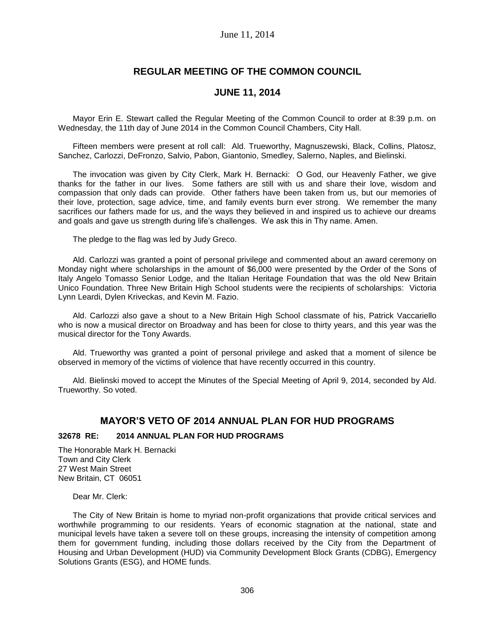## **REGULAR MEETING OF THE COMMON COUNCIL**

### **JUNE 11, 2014**

Mayor Erin E. Stewart called the Regular Meeting of the Common Council to order at 8:39 p.m. on Wednesday, the 11th day of June 2014 in the Common Council Chambers, City Hall.

Fifteen members were present at roll call: Ald. Trueworthy, Magnuszewski, Black, Collins, Platosz, Sanchez, Carlozzi, DeFronzo, Salvio, Pabon, Giantonio, Smedley, Salerno, Naples, and Bielinski.

The invocation was given by City Clerk, Mark H. Bernacki: O God, our Heavenly Father, we give thanks for the father in our lives. Some fathers are still with us and share their love, wisdom and compassion that only dads can provide. Other fathers have been taken from us, but our memories of their love, protection, sage advice, time, and family events burn ever strong. We remember the many sacrifices our fathers made for us, and the ways they believed in and inspired us to achieve our dreams and goals and gave us strength during life's challenges. We ask this in Thy name. Amen.

The pledge to the flag was led by Judy Greco.

Ald. Carlozzi was granted a point of personal privilege and commented about an award ceremony on Monday night where scholarships in the amount of \$6,000 were presented by the Order of the Sons of Italy Angelo Tomasso Senior Lodge, and the Italian Heritage Foundation that was the old New Britain Unico Foundation. Three New Britain High School students were the recipients of scholarships: Victoria Lynn Leardi, Dylen Kriveckas, and Kevin M. Fazio.

Ald. Carlozzi also gave a shout to a New Britain High School classmate of his, Patrick Vaccariello who is now a musical director on Broadway and has been for close to thirty years, and this year was the musical director for the Tony Awards.

Ald. Trueworthy was granted a point of personal privilege and asked that a moment of silence be observed in memory of the victims of violence that have recently occurred in this country.

Ald. Bielinski moved to accept the Minutes of the Special Meeting of April 9, 2014, seconded by Ald. Trueworthy. So voted.

#### **MAYOR'S VETO OF 2014 ANNUAL PLAN FOR HUD PROGRAMS**

#### **32678 RE: 2014 ANNUAL PLAN FOR HUD PROGRAMS**

The Honorable Mark H. Bernacki Town and City Clerk 27 West Main Street New Britain, CT 06051

Dear Mr. Clerk:

The City of New Britain is home to myriad non-profit organizations that provide critical services and worthwhile programming to our residents. Years of economic stagnation at the national, state and municipal levels have taken a severe toll on these groups, increasing the intensity of competition among them for government funding, including those dollars received by the City from the Department of Housing and Urban Development (HUD) via Community Development Block Grants (CDBG), Emergency Solutions Grants (ESG), and HOME funds.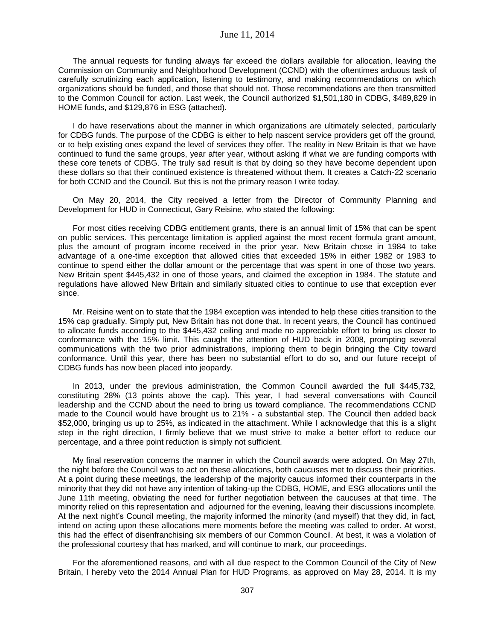The annual requests for funding always far exceed the dollars available for allocation, leaving the Commission on Community and Neighborhood Development (CCND) with the oftentimes arduous task of carefully scrutinizing each application, listening to testimony, and making recommendations on which organizations should be funded, and those that should not. Those recommendations are then transmitted to the Common Council for action. Last week, the Council authorized \$1,501,180 in CDBG, \$489,829 in HOME funds, and \$129,876 in ESG (attached).

I do have reservations about the manner in which organizations are ultimately selected, particularly for CDBG funds. The purpose of the CDBG is either to help nascent service providers get off the ground, or to help existing ones expand the level of services they offer. The reality in New Britain is that we have continued to fund the same groups, year after year, without asking if what we are funding comports with these core tenets of CDBG. The truly sad result is that by doing so they have become dependent upon these dollars so that their continued existence is threatened without them. It creates a Catch-22 scenario for both CCND and the Council. But this is not the primary reason I write today.

On May 20, 2014, the City received a letter from the Director of Community Planning and Development for HUD in Connecticut, Gary Reisine, who stated the following:

For most cities receiving CDBG entitlement grants, there is an annual limit of 15% that can be spent on public services. This percentage limitation is applied against the most recent formula grant amount, plus the amount of program income received in the prior year. New Britain chose in 1984 to take advantage of a one-time exception that allowed cities that exceeded 15% in either 1982 or 1983 to continue to spend either the dollar amount or the percentage that was spent in one of those two years. New Britain spent \$445,432 in one of those years, and claimed the exception in 1984. The statute and regulations have allowed New Britain and similarly situated cities to continue to use that exception ever since.

Mr. Reisine went on to state that the 1984 exception was intended to help these cities transition to the 15% cap gradually. Simply put, New Britain has not done that. In recent years, the Council has continued to allocate funds according to the \$445,432 ceiling and made no appreciable effort to bring us closer to conformance with the 15% limit. This caught the attention of HUD back in 2008, prompting several communications with the two prior administrations, imploring them to begin bringing the City toward conformance. Until this year, there has been no substantial effort to do so, and our future receipt of CDBG funds has now been placed into jeopardy.

In 2013, under the previous administration, the Common Council awarded the full \$445,732, constituting 28% (13 points above the cap). This year, I had several conversations with Council leadership and the CCND about the need to bring us toward compliance. The recommendations CCND made to the Council would have brought us to 21% - a substantial step. The Council then added back \$52,000, bringing us up to 25%, as indicated in the attachment. While I acknowledge that this is a slight step in the right direction, I firmly believe that we must strive to make a better effort to reduce our percentage, and a three point reduction is simply not sufficient.

My final reservation concerns the manner in which the Council awards were adopted. On May 27th, the night before the Council was to act on these allocations, both caucuses met to discuss their priorities. At a point during these meetings, the leadership of the majority caucus informed their counterparts in the minority that they did not have any intention of taking-up the CDBG, HOME, and ESG allocations until the June 11th meeting, obviating the need for further negotiation between the caucuses at that time. The minority relied on this representation and adjourned for the evening, leaving their discussions incomplete. At the next night's Council meeting, the majority informed the minority (and myself) that they did, in fact, intend on acting upon these allocations mere moments before the meeting was called to order. At worst, this had the effect of disenfranchising six members of our Common Council. At best, it was a violation of the professional courtesy that has marked, and will continue to mark, our proceedings.

For the aforementioned reasons, and with all due respect to the Common Council of the City of New Britain, I hereby veto the 2014 Annual Plan for HUD Programs, as approved on May 28, 2014. It is my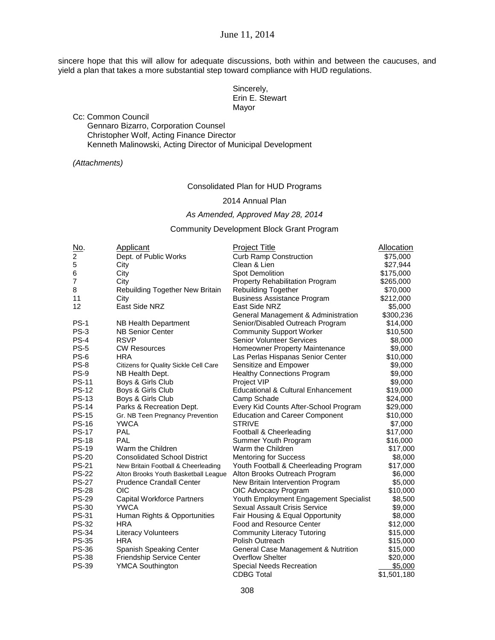June 11, 2014

sincere hope that this will allow for adequate discussions, both within and between the caucuses, and yield a plan that takes a more substantial step toward compliance with HUD regulations.

> Sincerely, Erin E. Stewart Mayor

Cc: Common Council

Gennaro Bizarro, Corporation Counsel Christopher Wolf, Acting Finance Director Kenneth Malinowski, Acting Director of Municipal Development

#### *(Attachments)*

#### Consolidated Plan for HUD Programs

#### 2014 Annual Plan

#### *As Amended, Approved May 28, 2014*

#### Community Development Block Grant Program

| No.                      | Applicant                                    | <b>Project Title</b>                          | Allocation  |
|--------------------------|----------------------------------------------|-----------------------------------------------|-------------|
| $\boldsymbol{2}$         | Dept. of Public Works                        | <b>Curb Ramp Construction</b>                 | \$75,000    |
| 5                        | City                                         | Clean & Lien                                  | \$27,944    |
| 6                        | City                                         | Spot Demolition                               | \$175,000   |
| $\overline{\mathcal{I}}$ | City                                         | Property Rehabilitation Program               | \$265,000   |
| 8                        | Rebuilding Together New Britain              | <b>Rebuilding Together</b>                    | \$70,000    |
| 11                       | City                                         | <b>Business Assistance Program</b>            | \$212,000   |
| 12                       | East Side NRZ                                | East Side NRZ                                 | \$5,000     |
|                          |                                              | General Management & Administration           | \$300,236   |
| $PS-1$                   | NB Health Department                         | Senior/Disabled Outreach Program              | \$14,000    |
| <b>PS-3</b>              | <b>NB Senior Center</b>                      | <b>Community Support Worker</b>               | \$10,500    |
| $PS-4$                   | <b>RSVP</b>                                  | <b>Senior Volunteer Services</b>              | \$8,000     |
| <b>PS-5</b>              | <b>CW Resources</b>                          | Homeowner Property Maintenance                | \$9,000     |
| PS-6                     | <b>HRA</b>                                   | Las Perlas Hispanas Senior Center             | \$10,000    |
| $PS-8$                   | <b>Citizens for Quality Sickle Cell Care</b> | Sensitize and Empower                         | \$9,000     |
| PS-9                     | NB Health Dept.                              | <b>Healthy Connections Program</b>            | \$9,000     |
| <b>PS-11</b>             | Boys & Girls Club                            | Project VIP                                   | \$9,000     |
| <b>PS-12</b>             | Boys & Girls Club                            | <b>Educational &amp; Cultural Enhancement</b> | \$19,000    |
| <b>PS-13</b>             | Boys & Girls Club                            | Camp Schade                                   | \$24,000    |
| <b>PS-14</b>             | Parks & Recreation Dept.                     | Every Kid Counts After-School Program         | \$29,000    |
| <b>PS-15</b>             | Gr. NB Teen Pregnancy Prevention             | <b>Education and Career Component</b>         | \$10,000    |
| <b>PS-16</b>             | <b>YWCA</b>                                  | <b>STRIVE</b>                                 | \$7,000     |
| <b>PS-17</b>             | <b>PAL</b>                                   | Football & Cheerleading                       | \$17,000    |
| <b>PS-18</b>             | PAL                                          | Summer Youth Program                          | \$16,000    |
| <b>PS-19</b>             | Warm the Children                            | Warm the Children                             | \$17,000    |
| <b>PS-20</b>             | <b>Consolidated School District</b>          | <b>Mentoring for Success</b>                  | \$8,000     |
| <b>PS-21</b>             | New Britain Football & Cheerleading          | Youth Football & Cheerleading Program         | \$17,000    |
| <b>PS-22</b>             | Alton Brooks Youth Basketball League         | Alton Brooks Outreach Program                 | \$6,000     |
| <b>PS-27</b>             | <b>Prudence Crandall Center</b>              | New Britain Intervention Program              | \$5,000     |
| <b>PS-28</b>             | <b>OIC</b>                                   | OIC Advocacy Program                          | \$10,000    |
| <b>PS-29</b>             | <b>Capital Workforce Partners</b>            | Youth Employment Engagement Specialist        | \$8,500     |
| <b>PS-30</b>             | <b>YWCA</b>                                  | Sexual Assault Crisis Service                 | \$9,000     |
| <b>PS-31</b>             | Human Rights & Opportunities                 | Fair Housing & Equal Opportunity              | \$8,000     |
| <b>PS-32</b>             | <b>HRA</b>                                   | Food and Resource Center                      | \$12,000    |
| <b>PS-34</b>             | Literacy Volunteers                          | <b>Community Literacy Tutoring</b>            | \$15,000    |
| <b>PS-35</b>             | <b>HRA</b>                                   | Polish Outreach                               | \$15,000    |
| <b>PS-36</b>             | Spanish Speaking Center                      | General Case Management & Nutrition           | \$15,000    |
| <b>PS-38</b>             | Friendship Service Center                    | <b>Overflow Shelter</b>                       | \$20,000    |
| <b>PS-39</b>             | <b>YMCA Southington</b>                      | <b>Special Needs Recreation</b>               | \$5,000     |
|                          |                                              | <b>CDBG Total</b>                             | \$1,501,180 |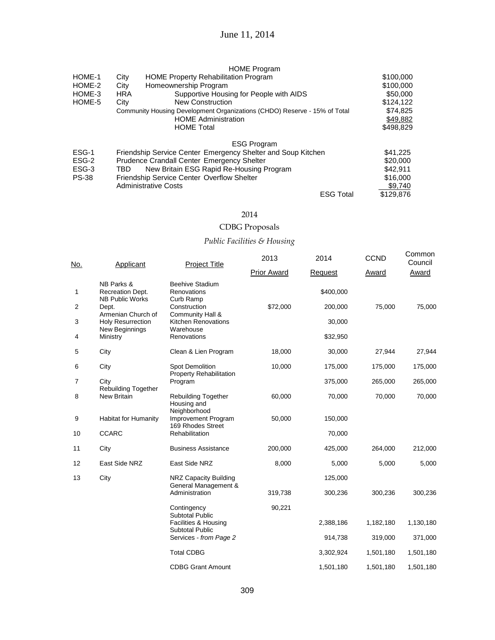| HOME-1<br>HOME-2<br>HOME-3<br>HOME-5 | City<br>City<br><b>HRA</b><br>City | <b>HOME Program</b><br><b>HOME Property Rehabilitation Program</b><br>Homeownership Program<br>Supportive Housing for People with AIDS<br><b>New Construction</b><br>Community Housing Development Organizations (CHDO) Reserve - 15% of Total<br><b>HOME Administration</b> |                  | \$100,000<br>\$100,000<br>\$50,000<br>\$124,122<br>\$74,825<br>\$49,882 |
|--------------------------------------|------------------------------------|------------------------------------------------------------------------------------------------------------------------------------------------------------------------------------------------------------------------------------------------------------------------------|------------------|-------------------------------------------------------------------------|
|                                      |                                    | <b>HOME Total</b>                                                                                                                                                                                                                                                            |                  | \$498.829                                                               |
|                                      |                                    | <b>ESG Program</b>                                                                                                                                                                                                                                                           |                  |                                                                         |
| ESG-1                                |                                    | Friendship Service Center Emergency Shelter and Soup Kitchen                                                                                                                                                                                                                 |                  | \$41,225                                                                |
| ESG-2                                |                                    | <b>Prudence Crandall Center Emergency Shelter</b>                                                                                                                                                                                                                            |                  | \$20,000                                                                |
| ESG-3                                | TBD                                | New Britain ESG Rapid Re-Housing Program                                                                                                                                                                                                                                     |                  | \$42,911                                                                |
| <b>PS-38</b>                         |                                    | <b>Friendship Service Center Overflow Shelter</b>                                                                                                                                                                                                                            |                  | \$16,000                                                                |
|                                      |                                    | <b>Administrative Costs</b>                                                                                                                                                                                                                                                  |                  | \$9,740                                                                 |
|                                      |                                    |                                                                                                                                                                                                                                                                              | <b>ESG Total</b> | \$129,876                                                               |

### 2014

## CDBG Proposals

## *Public Facilities & Housing*

| No.            | Applicant                                                | <b>Project Title</b>                                                     | 2013               | 2014      | <b>CCND</b> | Common<br>Council |
|----------------|----------------------------------------------------------|--------------------------------------------------------------------------|--------------------|-----------|-------------|-------------------|
|                |                                                          |                                                                          | <b>Prior Award</b> | Request   | Award       | Award             |
| 1              | NB Parks &<br>Recreation Dept.<br><b>NB Public Works</b> | <b>Beehive Stadium</b><br>Renovations                                    |                    | \$400,000 |             |                   |
| 2              | Dept.                                                    | Curb Ramp<br>Construction                                                | \$72,000           | 200,000   | 75,000      | 75,000            |
| 3              | Armenian Church of<br><b>Holy Resurrection</b>           | Community Hall &<br><b>Kitchen Renovations</b>                           |                    | 30,000    |             |                   |
| 4              | New Beginnings<br>Ministry                               | Warehouse<br>Renovations                                                 |                    | \$32,950  |             |                   |
| 5              | City                                                     | Clean & Lien Program                                                     | 18,000             | 30,000    | 27,944      | 27,944            |
| 6              | City                                                     | Spot Demolition                                                          | 10,000             | 175,000   | 175,000     | 175,000           |
| $\overline{7}$ | City                                                     | <b>Property Rehabilitation</b><br>Program                                |                    | 375,000   | 265,000     | 265,000           |
| 8              | Rebuilding Together<br><b>New Britain</b>                | <b>Rebuilding Together</b><br>Housing and                                | 60,000             | 70,000    | 70,000      | 70,000            |
| 9              | <b>Habitat for Humanity</b>                              | Neighborhood<br>Improvement Program                                      | 50,000             | 150,000   |             |                   |
| 10             | <b>CCARC</b>                                             | 169 Rhodes Street<br>Rehabilitation                                      |                    | 70,000    |             |                   |
| 11             | City                                                     | <b>Business Assistance</b>                                               | 200,000            | 425,000   | 264,000     | 212,000           |
| 12             | East Side NRZ                                            | East Side NRZ                                                            | 8,000              | 5,000     | 5,000       | 5,000             |
| 13             | City                                                     | NRZ Capacity Building                                                    |                    | 125,000   |             |                   |
|                |                                                          | General Management &<br>Administration                                   | 319,738            | 300,236   | 300,236     | 300,236           |
|                |                                                          | Contingency                                                              | 90,221             |           |             |                   |
|                |                                                          | <b>Subtotal Public</b><br>Facilities & Housing<br><b>Subtotal Public</b> |                    | 2,388,186 | 1,182,180   | 1,130,180         |
|                |                                                          | Services - from Page 2                                                   |                    | 914,738   | 319,000     | 371,000           |
|                |                                                          | <b>Total CDBG</b>                                                        |                    | 3,302,924 | 1,501,180   | 1,501,180         |
|                |                                                          | <b>CDBG Grant Amount</b>                                                 |                    | 1,501,180 | 1,501,180   | 1,501,180         |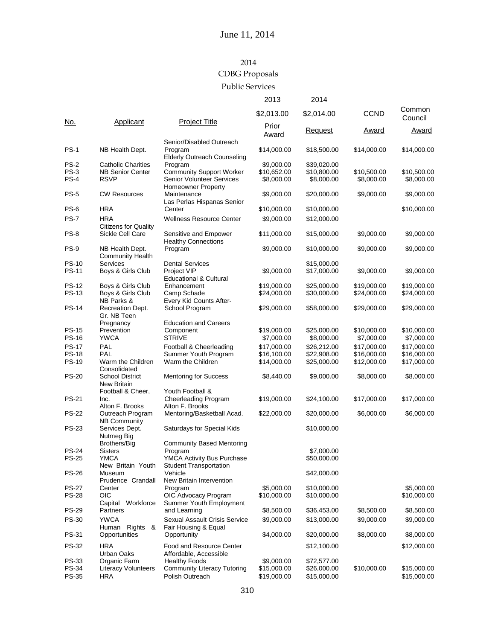# 2014

# CDBG Proposals

### Public Services

|              |                                                 |                                                                           | 2013           | 2014           |             |                   |
|--------------|-------------------------------------------------|---------------------------------------------------------------------------|----------------|----------------|-------------|-------------------|
|              | Applicant                                       |                                                                           | \$2,013.00     | \$2,014.00     | <b>CCND</b> | Common<br>Council |
| No.          |                                                 | <b>Project Title</b>                                                      | Prior<br>Award | <b>Request</b> | Award       | Award             |
| <b>PS-1</b>  | NB Health Dept.                                 | Senior/Disabled Outreach<br>Program<br><b>Elderly Outreach Counseling</b> | \$14,000.00    | \$18,500.00    | \$14,000.00 | \$14,000.00       |
| <b>PS-2</b>  | <b>Catholic Charities</b>                       | Program                                                                   | \$9,000.00     | \$39,020.00    |             |                   |
| $PS-3$       | <b>NB Senior Center</b>                         | <b>Community Support Worker</b>                                           | \$10,652.00    | \$10,800.00    | \$10,500.00 | \$10,500.00       |
| $PS-4$       | <b>RSVP</b>                                     | Senior Volunteer Services<br>Homeowner Property                           | \$8,000.00     | \$8,000.00     | \$8,000.00  | \$8,000.00        |
| <b>PS-5</b>  | <b>CW Resources</b>                             | Maintenance<br>Las Perlas Hispanas Senior                                 | \$9,000.00     | \$20,000.00    | \$9,000.00  | \$9,000.00        |
| $PS-6$       | <b>HRA</b>                                      | Center                                                                    | \$10,000.00    | \$10,000.00    |             | \$10,000.00       |
| <b>PS-7</b>  | <b>HRA</b>                                      | <b>Wellness Resource Center</b>                                           | \$9,000.00     | \$12,000.00    |             |                   |
| <b>PS-8</b>  | <b>Citizens for Quality</b><br>Sickle Cell Care | Sensitive and Empower<br><b>Healthy Connections</b>                       | \$11,000.00    | \$15,000.00    | \$9,000.00  | \$9,000.00        |
| <b>PS-9</b>  | NB Health Dept.<br><b>Community Health</b>      | Program                                                                   | \$9,000.00     | \$10,000.00    | \$9,000.00  | \$9,000.00        |
| <b>PS-10</b> | <b>Services</b>                                 | <b>Dental Services</b>                                                    |                | \$15,000.00    |             |                   |
| <b>PS-11</b> | Boys & Girls Club                               | Project VIP<br><b>Educational &amp; Cultural</b>                          | \$9,000.00     | \$17,000.00    | \$9,000.00  | \$9,000.00        |
| <b>PS-12</b> | Boys & Girls Club                               | Enhancement                                                               | \$19,000.00    | \$25,000.00    | \$19,000.00 | \$19,000.00       |
| <b>PS-13</b> | Boys & Girls Club                               | Camp Schade                                                               | \$24,000.00    | \$30,000.00    | \$24,000.00 | \$24,000.00       |
| <b>PS-14</b> | NB Parks &<br>Recreation Dept.                  | Every Kid Counts After-<br>School Program                                 | \$29,000.00    | \$58,000.00    | \$29,000.00 | \$29,000.00       |
|              | Gr. NB Teen                                     |                                                                           |                |                |             |                   |
| <b>PS-15</b> | Pregnancy<br>Prevention                         | <b>Education and Careers</b><br>Component                                 | \$19,000.00    | \$25,000.00    | \$10,000.00 | \$10,000.00       |
| <b>PS-16</b> | <b>YWCA</b>                                     | <b>STRIVE</b>                                                             | \$7,000.00     | \$8,000.00     | \$7,000.00  | \$7,000.00        |
| <b>PS-17</b> | PAL                                             | Football & Cheerleading                                                   | \$17,000.00    | \$26,212.00    | \$17,000.00 | \$17,000.00       |
| <b>PS-18</b> | PAL                                             | Summer Youth Program                                                      | \$16,100.00    | \$22,908.00    | \$16,000.00 | \$16,000.00       |
| <b>PS-19</b> | Warm the Children<br>Consolidated               | Warm the Children                                                         | \$14,000.00    | \$25,000.00    | \$12,000.00 | \$17,000.00       |
| <b>PS-20</b> | <b>School District</b><br><b>New Britain</b>    | Mentoring for Success                                                     | \$8,440.00     | \$9,000.00     | \$8,000.00  | \$8,000.00        |
|              | Football & Cheer,                               | Youth Football &                                                          |                |                |             |                   |
| <b>PS-21</b> | Inc.<br>Alton F. Brooks                         | <b>Cheerleading Program</b><br>Alton F. Brooks                            | \$19,000.00    | \$24,100.00    | \$17,000.00 | \$17,000.00       |
| <b>PS-22</b> | Outreach Program<br><b>NB Community</b>         | Mentoring/Basketball Acad.                                                | \$22,000.00    | \$20,000.00    | \$6,000.00  | \$6,000.00        |
| <b>PS-23</b> | Services Dept.<br>Nutmeg Big                    | Saturdays for Special Kids                                                |                | \$10,000.00    |             |                   |
| <b>PS-24</b> | Brothers/Big<br><b>Sisters</b>                  | <b>Community Based Mentoring</b><br>Program                               |                | \$7,000.00     |             |                   |
| PS-25        | YMCA                                            | YMCA Activity Bus Purchase                                                |                | \$50,000.00    |             |                   |
|              | New Britain Youth                               | <b>Student Transportation</b>                                             |                |                |             |                   |
| <b>PS-26</b> | Museum<br>Prudence Crandall                     | Vehicle<br>New Britain Intervention                                       |                | \$42,000.00    |             |                   |
| <b>PS-27</b> | Center                                          | Program                                                                   | \$5,000.00     | \$10,000.00    |             | \$5,000.00        |
| <b>PS-28</b> | OIC<br>Capital Workforce                        | OIC Advocacy Program<br>Summer Youth Employment                           | \$10,000.00    | \$10,000.00    |             | \$10,000.00       |
| <b>PS-29</b> | Partners                                        | and Learning                                                              | \$8,500.00     | \$36,453.00    | \$8,500.00  | \$8,500.00        |
| <b>PS-30</b> | <b>YWCA</b><br>Human Rights &                   | Sexual Assault Crisis Service<br>Fair Housing & Equal                     | \$9,000.00     | \$13,000.00    | \$9,000.00  | \$9,000.00        |
| PS-31        | Opportunities                                   | Opportunity                                                               | \$4,000.00     | \$20,000.00    | \$8,000.00  | \$8,000.00        |
| PS-32        | <b>HRA</b><br>Urban Oaks                        | Food and Resource Center<br>Affordable, Accessible                        |                | \$12,100.00    |             | \$12,000.00       |
| PS-33        | Organic Farm                                    | <b>Healthy Foods</b>                                                      | \$9,000.00     | \$72,577.00    |             |                   |
| PS-34        | <b>Literacy Volunteers</b>                      | <b>Community Literacy Tutoring</b>                                        | \$15,000.00    | \$26,000.00    | \$10,000.00 | \$15,000.00       |
| PS-35        | <b>HRA</b>                                      | Polish Outreach                                                           | \$19,000.00    | \$15,000.00    |             | \$15,000.00       |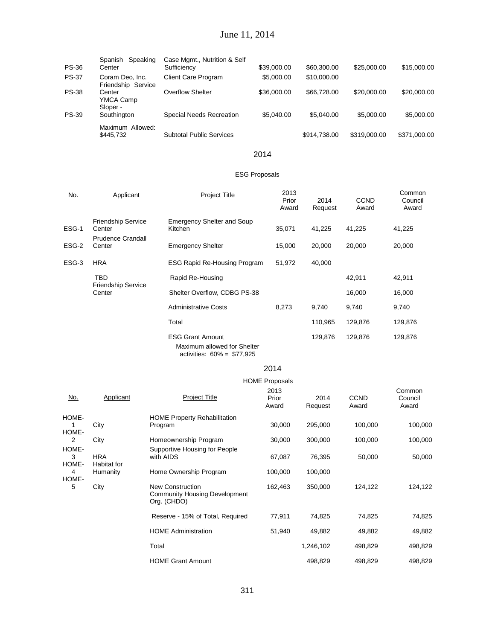# June 11, 2014

| <b>PS-36</b> | Speaking<br>Spanish<br>Center         | Case Mgmt., Nutrition & Self<br>Sufficiency | \$39,000.00 | \$60,300.00  | \$25,000.00  | \$15,000.00  |
|--------------|---------------------------------------|---------------------------------------------|-------------|--------------|--------------|--------------|
| <b>PS-37</b> | Coram Deo, Inc.<br>Friendship Service | <b>Client Care Program</b>                  | \$5,000,00  | \$10,000,00  |              |              |
| <b>PS-38</b> | Center<br>YMCA Camp<br>Sloper -       | <b>Overflow Shelter</b>                     | \$36,000.00 | \$66,728,00  | \$20,000.00  | \$20,000.00  |
| <b>PS-39</b> | Southington                           | Special Needs Recreation                    | \$5,040,00  | \$5,040.00   | \$5,000.00   | \$5,000.00   |
|              | Maximum Allowed:<br>\$445,732         | <b>Subtotal Public Services</b>             |             | \$914,738.00 | \$319,000.00 | \$371,000.00 |

#### 2014

#### ESG Proposals

| No.        | Applicant                               | <b>Project Title</b>                                                                 | 2013<br>Prior<br>Award                          | 2014<br>Request | <b>CCND</b><br>Award | Common<br>Council<br>Award |
|------------|-----------------------------------------|--------------------------------------------------------------------------------------|-------------------------------------------------|-----------------|----------------------|----------------------------|
| ESG-1      | <b>Friendship Service</b><br>Center     | <b>Emergency Shelter and Soup</b><br>Kitchen                                         | 35,071                                          | 41,225          | 41,225               | 41,225                     |
| ESG-2      | <b>Prudence Crandall</b><br>Center      | <b>Emergency Shelter</b>                                                             | 15,000                                          | 20,000          | 20,000               | 20,000                     |
| ESG-3      | <b>HRA</b>                              | <b>ESG Rapid Re-Housing Program</b>                                                  | 51,972                                          | 40,000          |                      |                            |
|            | <b>TBD</b><br><b>Friendship Service</b> | Rapid Re-Housing                                                                     |                                                 |                 | 42,911               | 42,911                     |
|            | Center                                  | Shelter Overflow, CDBG PS-38                                                         |                                                 |                 | 16,000               | 16,000                     |
|            |                                         | <b>Administrative Costs</b>                                                          | 8,273                                           | 9,740           | 9,740                | 9,740                      |
|            |                                         | Total                                                                                |                                                 | 110,965         | 129,876              | 129,876                    |
|            |                                         | <b>ESG Grant Amount</b><br>Maximum allowed for Shelter<br>activities: 60% = \$77,925 |                                                 | 129,876         | 129,876              | 129,876                    |
|            |                                         |                                                                                      | 2014                                            |                 |                      |                            |
| <u>No.</u> | Applicant                               | <b>Project Title</b>                                                                 | <b>HOME Proposals</b><br>2013<br>Prior<br>Award | 2014<br>Request | <b>CCND</b><br>Award | Common<br>Council<br>Award |
| HOME-<br>1 | City                                    | <b>HOME Property Rehabilitation</b><br>Program                                       | 30,000                                          | 295,000         | 100,000              | 100,000                    |
| HOME-<br>2 | City                                    | Homeownership Program                                                                | 30,000                                          | 300,000         | 100,000              | 100,000                    |
| HOME-<br>3 | <b>HRA</b>                              | Supportive Housing for People<br>with AIDS                                           | 67,087                                          | 76,395          | 50,000               | 50,000                     |
| HOME-<br>4 | Habitat for<br>Humanity                 | Home Ownership Program                                                               | 100,000                                         | 100,000         |                      |                            |
| HOME-<br>5 | City                                    | <b>New Construction</b><br><b>Community Housing Development</b><br>Org. (CHDO)       | 162,463                                         | 350,000         | 124,122              | 124,122                    |
|            |                                         | Reserve - 15% of Total, Required                                                     | 77,911                                          | 74,825          | 74,825               | 74,825                     |
|            |                                         | <b>HOME Administration</b>                                                           | 51,940                                          | 49,882          | 49,882               | 49,882                     |
|            |                                         | Total                                                                                |                                                 | 1,246,102       | 498,829              | 498,829                    |

498,829

498,829

498,829

HOME Grant Amount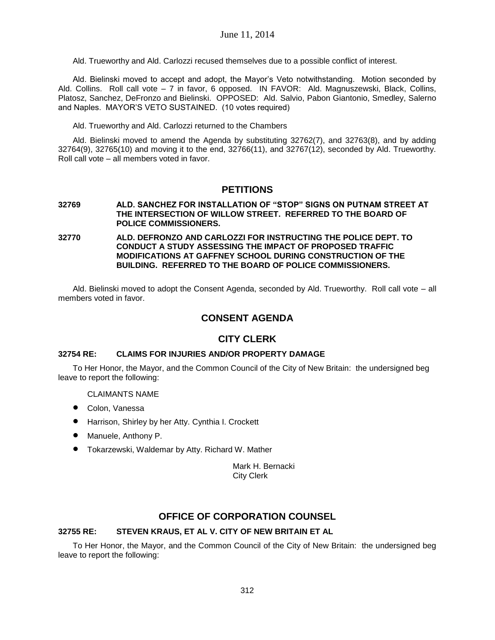Ald. Trueworthy and Ald. Carlozzi recused themselves due to a possible conflict of interest.

Ald. Bielinski moved to accept and adopt, the Mayor's Veto notwithstanding. Motion seconded by Ald. Collins. Roll call vote – 7 in favor, 6 opposed. IN FAVOR: Ald. Magnuszewski, Black, Collins, Platosz, Sanchez, DeFronzo and Bielinski. OPPOSED: Ald. Salvio, Pabon Giantonio, Smedley, Salerno and Naples. MAYOR'S VETO SUSTAINED. (10 votes required)

Ald. Trueworthy and Ald. Carlozzi returned to the Chambers

Ald. Bielinski moved to amend the Agenda by substituting 32762(7), and 32763(8), and by adding 32764(9), 32765(10) and moving it to the end, 32766(11), and 32767(12), seconded by Ald. Trueworthy. Roll call vote – all members voted in favor.

## **PETITIONS**

- **32769 ALD. SANCHEZ FOR INSTALLATION OF "STOP" SIGNS ON PUTNAM STREET AT THE INTERSECTION OF WILLOW STREET. REFERRED TO THE BOARD OF POLICE COMMISSIONERS.**
- **32770 ALD. DEFRONZO AND CARLOZZI FOR INSTRUCTING THE POLICE DEPT. TO CONDUCT A STUDY ASSESSING THE IMPACT OF PROPOSED TRAFFIC MODIFICATIONS AT GAFFNEY SCHOOL DURING CONSTRUCTION OF THE BUILDING. REFERRED TO THE BOARD OF POLICE COMMISSIONERS.**

Ald. Bielinski moved to adopt the Consent Agenda, seconded by Ald. Trueworthy. Roll call vote – all members voted in favor.

## **CONSENT AGENDA**

## **CITY CLERK**

## **32754 RE: CLAIMS FOR INJURIES AND/OR PROPERTY DAMAGE**

To Her Honor, the Mayor, and the Common Council of the City of New Britain: the undersigned beg leave to report the following:

CLAIMANTS NAME

- Colon, Vanessa
- Harrison, Shirley by her Atty. Cynthia I. Crockett
- Manuele, Anthony P.
- Tokarzewski, Waldemar by Atty. Richard W. Mather

Mark H. Bernacki City Clerk

## **OFFICE OF CORPORATION COUNSEL**

## **32755 RE: STEVEN KRAUS, ET AL V. CITY OF NEW BRITAIN ET AL**

To Her Honor, the Mayor, and the Common Council of the City of New Britain: the undersigned beg leave to report the following: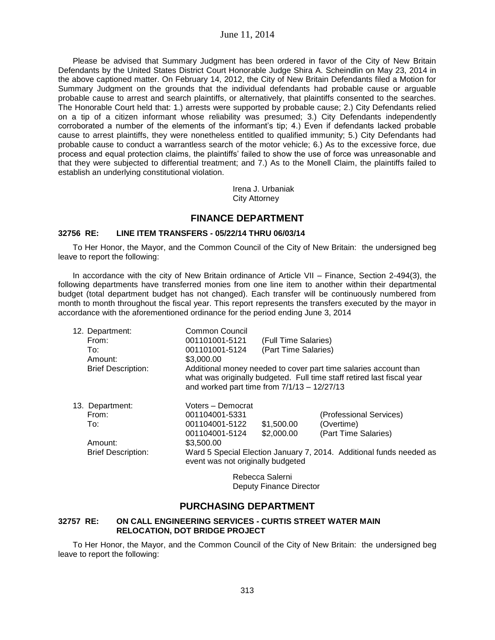Please be advised that Summary Judgment has been ordered in favor of the City of New Britain Defendants by the United States District Court Honorable Judge Shira A. Scheindlin on May 23, 2014 in the above captioned matter. On February 14, 2012, the City of New Britain Defendants filed a Motion for Summary Judgment on the grounds that the individual defendants had probable cause or arguable probable cause to arrest and search plaintiffs, or alternatively, that plaintiffs consented to the searches. The Honorable Court held that: 1.) arrests were supported by probable cause; 2.) City Defendants relied on a tip of a citizen informant whose reliability was presumed; 3.) City Defendants independently corroborated a number of the elements of the informant's tip; 4.) Even if defendants lacked probable cause to arrest plaintiffs, they were nonetheless entitled to qualified immunity; 5.) City Defendants had probable cause to conduct a warrantless search of the motor vehicle; 6.) As to the excessive force, due process and equal protection claims, the plaintiffs' failed to show the use of force was unreasonable and that they were subjected to differential treatment; and 7.) As to the Monell Claim, the plaintiffs failed to establish an underlying constitutional violation.

> Irena J. Urbaniak City Attorney

## **FINANCE DEPARTMENT**

#### **32756 RE: LINE ITEM TRANSFERS - 05/22/14 THRU 06/03/14**

To Her Honor, the Mayor, and the Common Council of the City of New Britain: the undersigned beg leave to report the following:

In accordance with the city of New Britain ordinance of Article VII – Finance, Section 2-494(3), the following departments have transferred monies from one line item to another within their departmental budget (total department budget has not changed). Each transfer will be continuously numbered from month to month throughout the fiscal year. This report represents the transfers executed by the mayor in accordance with the aforementioned ordinance for the period ending June 3, 2014

| 12. Department:           | Common Council                                                                                           |                      |                                                                                                                                            |  |  |
|---------------------------|----------------------------------------------------------------------------------------------------------|----------------------|--------------------------------------------------------------------------------------------------------------------------------------------|--|--|
| From:                     | 001101001-5121                                                                                           | (Full Time Salaries) |                                                                                                                                            |  |  |
| To:                       | 001101001-5124                                                                                           | (Part Time Salaries) |                                                                                                                                            |  |  |
| Amount:                   | \$3,000.00                                                                                               |                      |                                                                                                                                            |  |  |
| <b>Brief Description:</b> | and worked part time from $7/1/13 - 12/27/13$                                                            |                      | Additional money needed to cover part time salaries account than<br>what was originally budgeted. Full time staff retired last fiscal year |  |  |
| 13. Department:           | Voters - Democrat                                                                                        |                      |                                                                                                                                            |  |  |
| From:                     | 001104001-5331                                                                                           |                      | (Professional Services)                                                                                                                    |  |  |
| To:                       | 001104001-5122                                                                                           | \$1,500.00           | (Overtime)                                                                                                                                 |  |  |
|                           | 001104001-5124                                                                                           | \$2,000.00           | (Part Time Salaries)                                                                                                                       |  |  |
| Amount:                   | \$3,500.00                                                                                               |                      |                                                                                                                                            |  |  |
| <b>Brief Description:</b> | Ward 5 Special Election January 7, 2014. Additional funds needed as<br>event was not originally budgeted |                      |                                                                                                                                            |  |  |
|                           |                                                                                                          |                      |                                                                                                                                            |  |  |

Rebecca Salerni Deputy Finance Director

## **PURCHASING DEPARTMENT**

#### **32757 RE: ON CALL ENGINEERING SERVICES - CURTIS STREET WATER MAIN RELOCATION, DOT BRIDGE PROJECT**

To Her Honor, the Mayor, and the Common Council of the City of New Britain: the undersigned beg leave to report the following: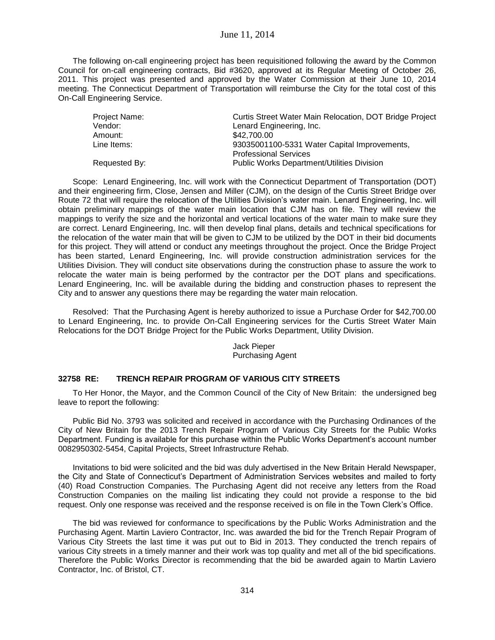#### June 11, 2014

The following on-call engineering project has been requisitioned following the award by the Common Council for on-call engineering contracts, Bid #3620, approved at its Regular Meeting of October 26, 2011. This project was presented and approved by the Water Commission at their June 10, 2014 meeting. The Connecticut Department of Transportation will reimburse the City for the total cost of this On-Call Engineering Service.

| Project Name: | Curtis Street Water Main Relocation, DOT Bridge Project |
|---------------|---------------------------------------------------------|
| Vendor:       | Lenard Engineering, Inc.                                |
| Amount:       | \$42,700.00                                             |
| Line Items:   | 93035001100-5331 Water Capital Improvements,            |
|               | <b>Professional Services</b>                            |
| Requested By: | <b>Public Works Department/Utilities Division</b>       |

Scope: Lenard Engineering, Inc. will work with the Connecticut Department of Transportation (DOT) and their engineering firm, Close, Jensen and Miller (CJM), on the design of the Curtis Street Bridge over Route 72 that will require the relocation of the Utilities Division's water main. Lenard Engineering, Inc. will obtain preliminary mappings of the water main location that CJM has on file. They will review the mappings to verify the size and the horizontal and vertical locations of the water main to make sure they are correct. Lenard Engineering, Inc. will then develop final plans, details and technical specifications for the relocation of the water main that will be given to CJM to be utilized by the DOT in their bid documents for this project. They will attend or conduct any meetings throughout the project. Once the Bridge Project has been started, Lenard Engineering, Inc. will provide construction administration services for the Utilities Division. They will conduct site observations during the construction phase to assure the work to relocate the water main is being performed by the contractor per the DOT plans and specifications. Lenard Engineering, Inc. will be available during the bidding and construction phases to represent the City and to answer any questions there may be regarding the water main relocation.

Resolved: That the Purchasing Agent is hereby authorized to issue a Purchase Order for \$42,700.00 to Lenard Engineering, Inc. to provide On-Call Engineering services for the Curtis Street Water Main Relocations for the DOT Bridge Project for the Public Works Department, Utility Division.

> Jack Pieper Purchasing Agent

#### **32758 RE: TRENCH REPAIR PROGRAM OF VARIOUS CITY STREETS**

To Her Honor, the Mayor, and the Common Council of the City of New Britain: the undersigned beg leave to report the following:

Public Bid No. 3793 was solicited and received in accordance with the Purchasing Ordinances of the City of New Britain for the 2013 Trench Repair Program of Various City Streets for the Public Works Department. Funding is available for this purchase within the Public Works Department's account number 0082950302-5454, Capital Projects, Street Infrastructure Rehab.

Invitations to bid were solicited and the bid was duly advertised in the New Britain Herald Newspaper, the City and State of Connecticut's Department of Administration Services websites and mailed to forty (40) Road Construction Companies. The Purchasing Agent did not receive any letters from the Road Construction Companies on the mailing list indicating they could not provide a response to the bid request. Only one response was received and the response received is on file in the Town Clerk's Office.

The bid was reviewed for conformance to specifications by the Public Works Administration and the Purchasing Agent. Martin Laviero Contractor, Inc. was awarded the bid for the Trench Repair Program of Various City Streets the last time it was put out to Bid in 2013. They conducted the trench repairs of various City streets in a timely manner and their work was top quality and met all of the bid specifications. Therefore the Public Works Director is recommending that the bid be awarded again to Martin Laviero Contractor, Inc. of Bristol, CT.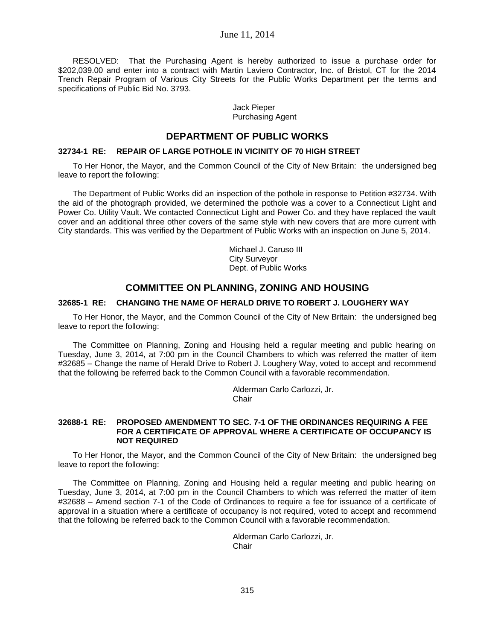#### June 11, 2014

RESOLVED: That the Purchasing Agent is hereby authorized to issue a purchase order for \$202,039.00 and enter into a contract with Martin Laviero Contractor, Inc. of Bristol, CT for the 2014 Trench Repair Program of Various City Streets for the Public Works Department per the terms and specifications of Public Bid No. 3793.

#### Jack Pieper Purchasing Agent

## **DEPARTMENT OF PUBLIC WORKS**

#### **32734-1 RE: REPAIR OF LARGE POTHOLE IN VICINITY OF 70 HIGH STREET**

To Her Honor, the Mayor, and the Common Council of the City of New Britain: the undersigned beg leave to report the following:

The Department of Public Works did an inspection of the pothole in response to Petition #32734. With the aid of the photograph provided, we determined the pothole was a cover to a Connecticut Light and Power Co. Utility Vault. We contacted Connecticut Light and Power Co. and they have replaced the vault cover and an additional three other covers of the same style with new covers that are more current with City standards. This was verified by the Department of Public Works with an inspection on June 5, 2014.

> Michael J. Caruso III City Surveyor Dept. of Public Works

## **COMMITTEE ON PLANNING, ZONING AND HOUSING**

#### **32685-1 RE: CHANGING THE NAME OF HERALD DRIVE TO ROBERT J. LOUGHERY WAY**

To Her Honor, the Mayor, and the Common Council of the City of New Britain: the undersigned beg leave to report the following:

The Committee on Planning, Zoning and Housing held a regular meeting and public hearing on Tuesday, June 3, 2014, at 7:00 pm in the Council Chambers to which was referred the matter of item #32685 – Change the name of Herald Drive to Robert J. Loughery Way, voted to accept and recommend that the following be referred back to the Common Council with a favorable recommendation.

> Alderman Carlo Carlozzi, Jr. Chair

#### **32688-1 RE: PROPOSED AMENDMENT TO SEC. 7-1 OF THE ORDINANCES REQUIRING A FEE FOR A CERTIFICATE OF APPROVAL WHERE A CERTIFICATE OF OCCUPANCY IS NOT REQUIRED**

To Her Honor, the Mayor, and the Common Council of the City of New Britain: the undersigned beg leave to report the following:

The Committee on Planning, Zoning and Housing held a regular meeting and public hearing on Tuesday, June 3, 2014, at 7:00 pm in the Council Chambers to which was referred the matter of item #32688 – Amend section 7-1 of the Code of Ordinances to require a fee for issuance of a certificate of approval in a situation where a certificate of occupancy is not required, voted to accept and recommend that the following be referred back to the Common Council with a favorable recommendation.

> Alderman Carlo Carlozzi, Jr. **Chair**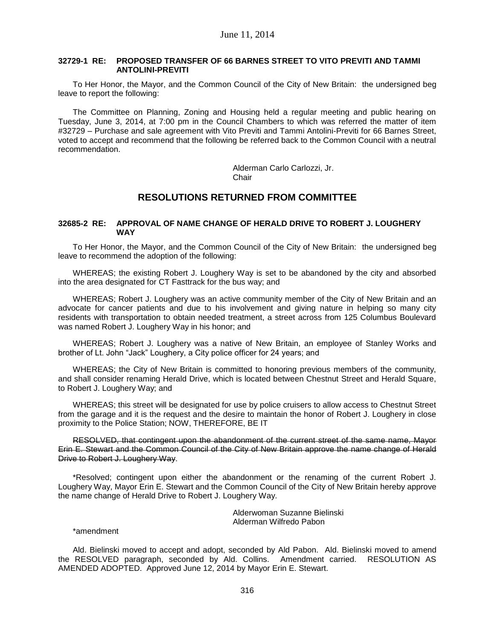#### **32729-1 RE: PROPOSED TRANSFER OF 66 BARNES STREET TO VITO PREVITI AND TAMMI ANTOLINI-PREVITI**

To Her Honor, the Mayor, and the Common Council of the City of New Britain: the undersigned beg leave to report the following:

The Committee on Planning, Zoning and Housing held a regular meeting and public hearing on Tuesday, June 3, 2014, at 7:00 pm in the Council Chambers to which was referred the matter of item #32729 – Purchase and sale agreement with Vito Previti and Tammi Antolini-Previti for 66 Barnes Street, voted to accept and recommend that the following be referred back to the Common Council with a neutral recommendation.

> Alderman Carlo Carlozzi, Jr. **Chair**

## **RESOLUTIONS RETURNED FROM COMMITTEE**

### **32685-2 RE: APPROVAL OF NAME CHANGE OF HERALD DRIVE TO ROBERT J. LOUGHERY WAY**

To Her Honor, the Mayor, and the Common Council of the City of New Britain: the undersigned beg leave to recommend the adoption of the following:

WHEREAS; the existing Robert J. Loughery Way is set to be abandoned by the city and absorbed into the area designated for CT Fasttrack for the bus way; and

WHEREAS; Robert J. Loughery was an active community member of the City of New Britain and an advocate for cancer patients and due to his involvement and giving nature in helping so many city residents with transportation to obtain needed treatment, a street across from 125 Columbus Boulevard was named Robert J. Loughery Way in his honor; and

WHEREAS; Robert J. Loughery was a native of New Britain, an employee of Stanley Works and brother of Lt. John "Jack" Loughery, a City police officer for 24 years; and

WHEREAS; the City of New Britain is committed to honoring previous members of the community, and shall consider renaming Herald Drive, which is located between Chestnut Street and Herald Square, to Robert J. Loughery Way; and

WHEREAS; this street will be designated for use by police cruisers to allow access to Chestnut Street from the garage and it is the request and the desire to maintain the honor of Robert J. Loughery in close proximity to the Police Station; NOW, THEREFORE, BE IT

RESOLVED, that contingent upon the abandonment of the current street of the same name, Mayor Erin E. Stewart and the Common Council of the City of New Britain approve the name change of Herald Drive to Robert J. Loughery Way.

\*Resolved; contingent upon either the abandonment or the renaming of the current Robert J. Loughery Way, Mayor Erin E. Stewart and the Common Council of the City of New Britain hereby approve the name change of Herald Drive to Robert J. Loughery Way.

> Alderwoman Suzanne Bielinski Alderman Wilfredo Pabon

\*amendment

Ald. Bielinski moved to accept and adopt, seconded by Ald Pabon. Ald. Bielinski moved to amend the RESOLVED paragraph, seconded by Ald. Collins. Amendment carried. RESOLUTION AS AMENDED ADOPTED. Approved June 12, 2014 by Mayor Erin E. Stewart.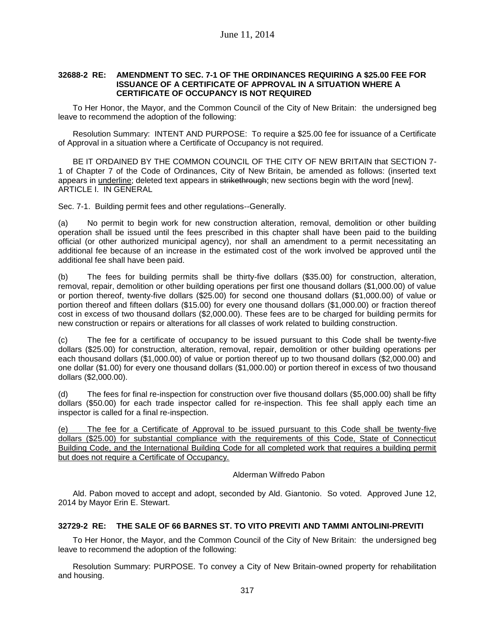#### **32688-2 RE: AMENDMENT TO SEC. 7-1 OF THE ORDINANCES REQUIRING A \$25.00 FEE FOR ISSUANCE OF A CERTIFICATE OF APPROVAL IN A SITUATION WHERE A CERTIFICATE OF OCCUPANCY IS NOT REQUIRED**

To Her Honor, the Mayor, and the Common Council of the City of New Britain: the undersigned beg leave to recommend the adoption of the following:

Resolution Summary: INTENT AND PURPOSE: To require a \$25.00 fee for issuance of a Certificate of Approval in a situation where a Certificate of Occupancy is not required.

BE IT ORDAINED BY THE COMMON COUNCIL OF THE CITY OF NEW BRITAIN that SECTION 7- 1 of Chapter 7 of the Code of Ordinances, City of New Britain, be amended as follows: (inserted text appears in underline; deleted text appears in strikethrough; new sections begin with the word [new]. ARTICLE I. IN GENERAL

Sec. 7-1. Building permit fees and other regulations--Generally.

(a) No permit to begin work for new construction alteration, removal, demolition or other building operation shall be issued until the fees prescribed in this chapter shall have been paid to the building official (or other authorized municipal agency), nor shall an amendment to a permit necessitating an additional fee because of an increase in the estimated cost of the work involved be approved until the additional fee shall have been paid.

(b) The fees for building permits shall be thirty-five dollars (\$35.00) for construction, alteration, removal, repair, demolition or other building operations per first one thousand dollars (\$1,000.00) of value or portion thereof, twenty-five dollars (\$25.00) for second one thousand dollars (\$1,000.00) of value or portion thereof and fifteen dollars (\$15.00) for every one thousand dollars (\$1,000.00) or fraction thereof cost in excess of two thousand dollars (\$2,000.00). These fees are to be charged for building permits for new construction or repairs or alterations for all classes of work related to building construction.

(c) The fee for a certificate of occupancy to be issued pursuant to this Code shall be twenty-five dollars (\$25.00) for construction, alteration, removal, repair, demolition or other building operations per each thousand dollars (\$1,000.00) of value or portion thereof up to two thousand dollars (\$2,000.00) and one dollar (\$1.00) for every one thousand dollars (\$1,000.00) or portion thereof in excess of two thousand dollars (\$2,000.00).

(d) The fees for final re-inspection for construction over five thousand dollars (\$5,000.00) shall be fifty dollars (\$50.00) for each trade inspector called for re-inspection. This fee shall apply each time an inspector is called for a final re-inspection.

(e) The fee for a Certificate of Approval to be issued pursuant to this Code shall be twenty-five dollars (\$25.00) for substantial compliance with the requirements of this Code, State of Connecticut Building Code, and the International Building Code for all completed work that requires a building permit but does not require a Certificate of Occupancy.

Alderman Wilfredo Pabon

Ald. Pabon moved to accept and adopt, seconded by Ald. Giantonio. So voted. Approved June 12, 2014 by Mayor Erin E. Stewart.

## **32729-2 RE: THE SALE OF 66 BARNES ST. TO VITO PREVITI AND TAMMI ANTOLINI-PREVITI**

To Her Honor, the Mayor, and the Common Council of the City of New Britain: the undersigned beg leave to recommend the adoption of the following:

Resolution Summary: PURPOSE. To convey a City of New Britain-owned property for rehabilitation and housing.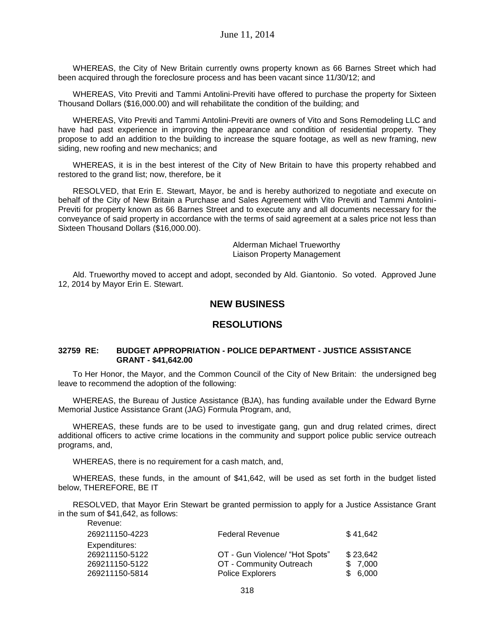WHEREAS, the City of New Britain currently owns property known as 66 Barnes Street which had been acquired through the foreclosure process and has been vacant since 11/30/12; and

WHEREAS, Vito Previti and Tammi Antolini-Previti have offered to purchase the property for Sixteen Thousand Dollars (\$16,000.00) and will rehabilitate the condition of the building; and

WHEREAS, Vito Previti and Tammi Antolini-Previti are owners of Vito and Sons Remodeling LLC and have had past experience in improving the appearance and condition of residential property. They propose to add an addition to the building to increase the square footage, as well as new framing, new siding, new roofing and new mechanics; and

WHEREAS, it is in the best interest of the City of New Britain to have this property rehabbed and restored to the grand list; now, therefore, be it

RESOLVED, that Erin E. Stewart, Mayor, be and is hereby authorized to negotiate and execute on behalf of the City of New Britain a Purchase and Sales Agreement with Vito Previti and Tammi Antolini-Previti for property known as 66 Barnes Street and to execute any and all documents necessary for the conveyance of said property in accordance with the terms of said agreement at a sales price not less than Sixteen Thousand Dollars (\$16,000.00).

> Alderman Michael Trueworthy Liaison Property Management

Ald. Trueworthy moved to accept and adopt, seconded by Ald. Giantonio. So voted. Approved June 12, 2014 by Mayor Erin E. Stewart.

## **NEW BUSINESS**

## **RESOLUTIONS**

#### **32759 RE: BUDGET APPROPRIATION - POLICE DEPARTMENT - JUSTICE ASSISTANCE GRANT - \$41,642.00**

To Her Honor, the Mayor, and the Common Council of the City of New Britain: the undersigned beg leave to recommend the adoption of the following:

WHEREAS, the Bureau of Justice Assistance (BJA), has funding available under the Edward Byrne Memorial Justice Assistance Grant (JAG) Formula Program, and,

WHEREAS, these funds are to be used to investigate gang, gun and drug related crimes, direct additional officers to active crime locations in the community and support police public service outreach programs, and,

WHEREAS, there is no requirement for a cash match, and,

WHEREAS, these funds, in the amount of \$41,642, will be used as set forth in the budget listed below, THEREFORE, BE IT

RESOLVED, that Mayor Erin Stewart be granted permission to apply for a Justice Assistance Grant in the sum of \$41,642, as follows: Revenue:

| ,,,,,,,,,,,,,  |                                |          |
|----------------|--------------------------------|----------|
| 269211150-4223 | <b>Federal Revenue</b>         | \$41.642 |
| Expenditures:  |                                |          |
| 269211150-5122 | OT - Gun Violence/ "Hot Spots" | \$23,642 |
| 269211150-5122 | OT - Community Outreach        | \$7,000  |
| 269211150-5814 | <b>Police Explorers</b>        | \$ 6.000 |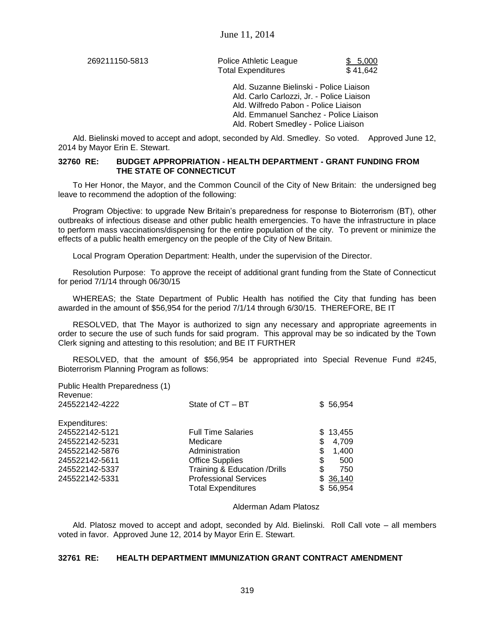269211150-5813 Police Athletic League \$ 5,000 Total Expenditures \$41,642

Ald. Suzanne Bielinski - Police Liaison Ald. Carlo Carlozzi, Jr. - Police Liaison Ald. Wilfredo Pabon - Police Liaison Ald. Emmanuel Sanchez - Police Liaison Ald. Robert Smedley - Police Liaison

Ald. Bielinski moved to accept and adopt, seconded by Ald. Smedley. So voted. Approved June 12, 2014 by Mayor Erin E. Stewart.

#### **32760 RE: BUDGET APPROPRIATION - HEALTH DEPARTMENT - GRANT FUNDING FROM THE STATE OF CONNECTICUT**

To Her Honor, the Mayor, and the Common Council of the City of New Britain: the undersigned beg leave to recommend the adoption of the following:

Program Objective: to upgrade New Britain's preparedness for response to Bioterrorism (BT), other outbreaks of infectious disease and other public health emergencies. To have the infrastructure in place to perform mass vaccinations/dispensing for the entire population of the city. To prevent or minimize the effects of a public health emergency on the people of the City of New Britain.

Local Program Operation Department: Health, under the supervision of the Director.

Resolution Purpose: To approve the receipt of additional grant funding from the State of Connecticut for period 7/1/14 through 06/30/15

WHEREAS; the State Department of Public Health has notified the City that funding has been awarded in the amount of \$56,954 for the period 7/1/14 through 6/30/15. THEREFORE, BE IT

RESOLVED, that The Mayor is authorized to sign any necessary and appropriate agreements in order to secure the use of such funds for said program. This approval may be so indicated by the Town Clerk signing and attesting to this resolution; and BE IT FURTHER

RESOLVED, that the amount of \$56,954 be appropriated into Special Revenue Fund #245, Bioterrorism Planning Program as follows:

Public Health Preparedness (1) Revenue:<br>245522142-4222

| Expenditures:  |                               |    |          |
|----------------|-------------------------------|----|----------|
| 245522142-5121 | <b>Full Time Salaries</b>     |    | \$13.455 |
| 245522142-5231 | Medicare                      | S  | 4,709    |
| 245522142-5876 | Administration                | S  | 1,400    |
| 245522142-5611 | <b>Office Supplies</b>        | S  | 500      |
| 245522142-5337 | Training & Education / Drills | \$ | 750      |
| 245522142-5331 | <b>Professional Services</b>  |    | \$36,140 |
|                | <b>Total Expenditures</b>     |    | \$56,954 |
|                |                               |    |          |

#### Alderman Adam Platosz

 $State of CT - BT$  \$ 56,954

Ald. Platosz moved to accept and adopt, seconded by Ald. Bielinski. Roll Call vote – all members voted in favor. Approved June 12, 2014 by Mayor Erin E. Stewart.

## **32761 RE: HEALTH DEPARTMENT IMMUNIZATION GRANT CONTRACT AMENDMENT**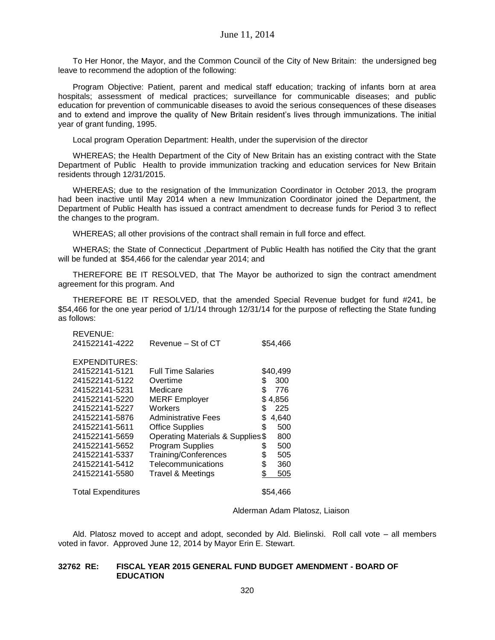To Her Honor, the Mayor, and the Common Council of the City of New Britain: the undersigned beg leave to recommend the adoption of the following:

Program Objective: Patient, parent and medical staff education; tracking of infants born at area hospitals; assessment of medical practices; surveillance for communicable diseases; and public education for prevention of communicable diseases to avoid the serious consequences of these diseases and to extend and improve the quality of New Britain resident's lives through immunizations. The initial year of grant funding, 1995.

Local program Operation Department: Health, under the supervision of the director

WHEREAS; the Health Department of the City of New Britain has an existing contract with the State Department of Public Health to provide immunization tracking and education services for New Britain residents through 12/31/2015.

WHEREAS; due to the resignation of the Immunization Coordinator in October 2013, the program had been inactive until May 2014 when a new Immunization Coordinator joined the Department, the Department of Public Health has issued a contract amendment to decrease funds for Period 3 to reflect the changes to the program.

WHEREAS; all other provisions of the contract shall remain in full force and effect.

WHERAS; the State of Connecticut ,Department of Public Health has notified the City that the grant will be funded at \$54,466 for the calendar year 2014; and

THEREFORE BE IT RESOLVED, that The Mayor be authorized to sign the contract amendment agreement for this program. And

THEREFORE BE IT RESOLVED, that the amended Special Revenue budget for fund #241, be \$54,466 for the one year period of 1/1/14 through 12/31/14 for the purpose of reflecting the State funding as follows:

| <b>REVENUE:</b><br>241522141-4222 | Revenue – St of CT                | \$54,466    |
|-----------------------------------|-----------------------------------|-------------|
| EXPENDITURES:                     |                                   |             |
| 241522141-5121                    | <b>Full Time Salaries</b>         | \$40,499    |
| 241522141-5122                    | Overtime                          | \$<br>300   |
| 241522141-5231                    | Medicare                          | \$<br>776   |
| 241522141-5220                    | <b>MERF Employer</b>              | \$<br>4,856 |
| 241522141-5227                    | Workers                           | \$<br>225   |
| 241522141-5876                    | <b>Administrative Fees</b>        | \$<br>4,640 |
| 241522141-5611                    | <b>Office Supplies</b>            | \$<br>500   |
| 241522141-5659                    | Operating Materials & Supplies \$ | 800         |
| 241522141-5652                    | <b>Program Supplies</b>           | \$<br>500   |
| 241522141-5337                    | Training/Conferences              | \$<br>505   |
| 241522141-5412                    | Telecommunications                | \$<br>360   |
| 241522141-5580                    | <b>Travel &amp; Meetings</b>      | \$<br>505   |
| <b>Total Expenditures</b>         |                                   | \$54,466    |

Alderman Adam Platosz, Liaison

Ald. Platosz moved to accept and adopt, seconded by Ald. Bielinski. Roll call vote – all members voted in favor. Approved June 12, 2014 by Mayor Erin E. Stewart.

#### **32762 RE: FISCAL YEAR 2015 GENERAL FUND BUDGET AMENDMENT - BOARD OF EDUCATION**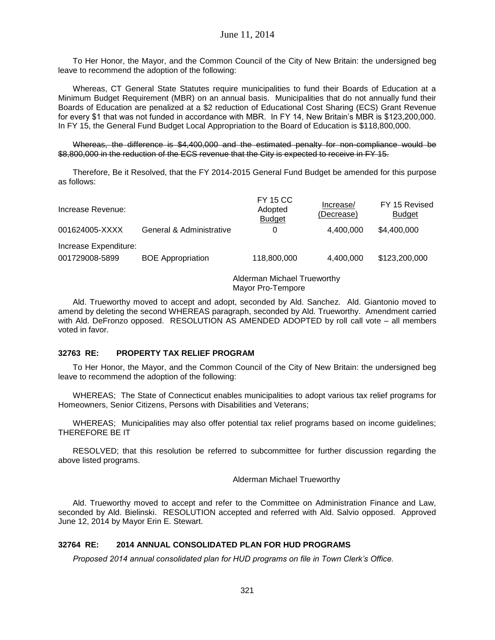To Her Honor, the Mayor, and the Common Council of the City of New Britain: the undersigned beg leave to recommend the adoption of the following:

Whereas, CT General State Statutes require municipalities to fund their Boards of Education at a Minimum Budget Requirement (MBR) on an annual basis. Municipalities that do not annually fund their Boards of Education are penalized at a \$2 reduction of Educational Cost Sharing (ECS) Grant Revenue for every \$1 that was not funded in accordance with MBR. In FY 14, New Britain's MBR is \$123,200,000. In FY 15, the General Fund Budget Local Appropriation to the Board of Education is \$118,800,000.

Whereas, the difference is \$4,400,000 and the estimated penalty for non-compliance would be \$8,800,000 in the reduction of the ECS revenue that the City is expected to receive in FY 15.

Therefore, Be it Resolved, that the FY 2014-2015 General Fund Budget be amended for this purpose as follows:

| Increase Revenue:                       |                          | <b>FY 15 CC</b><br>Adopted<br><b>Budget</b> | Increase/<br>(Decrease) | FY 15 Revised<br><b>Budget</b> |
|-----------------------------------------|--------------------------|---------------------------------------------|-------------------------|--------------------------------|
| 001624005-XXXX                          | General & Administrative |                                             | 4.400.000               | \$4,400,000                    |
| Increase Expenditure:<br>001729008-5899 | <b>BOE</b> Appropriation | 118,800,000                                 | 4,400,000               | \$123,200,000                  |

Alderman Michael Trueworthy Mayor Pro-Tempore

Ald. Trueworthy moved to accept and adopt, seconded by Ald. Sanchez. Ald. Giantonio moved to amend by deleting the second WHEREAS paragraph, seconded by Ald. Trueworthy. Amendment carried with Ald. DeFronzo opposed. RESOLUTION AS AMENDED ADOPTED by roll call vote – all members voted in favor.

#### **32763 RE: PROPERTY TAX RELIEF PROGRAM**

To Her Honor, the Mayor, and the Common Council of the City of New Britain: the undersigned beg leave to recommend the adoption of the following:

WHEREAS; The State of Connecticut enables municipalities to adopt various tax relief programs for Homeowners, Senior Citizens, Persons with Disabilities and Veterans;

WHEREAS; Municipalities may also offer potential tax relief programs based on income guidelines; THEREFORE BE IT

RESOLVED; that this resolution be referred to subcommittee for further discussion regarding the above listed programs.

Alderman Michael Trueworthy

Ald. Trueworthy moved to accept and refer to the Committee on Administration Finance and Law, seconded by Ald. Bielinski. RESOLUTION accepted and referred with Ald. Salvio opposed. Approved June 12, 2014 by Mayor Erin E. Stewart.

#### **32764 RE: 2014 ANNUAL CONSOLIDATED PLAN FOR HUD PROGRAMS**

*Proposed 2014 annual consolidated plan for HUD programs on file in Town Clerk's Office.*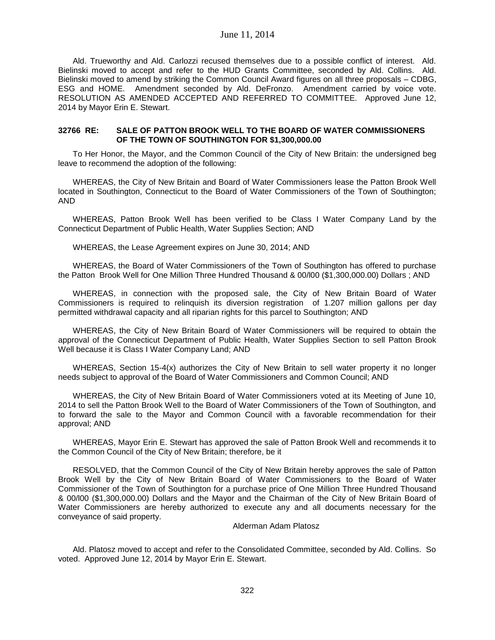Ald. Trueworthy and Ald. Carlozzi recused themselves due to a possible conflict of interest. Ald. Bielinski moved to accept and refer to the HUD Grants Committee, seconded by Ald. Collins. Ald. Bielinski moved to amend by striking the Common Council Award figures on all three proposals – CDBG, ESG and HOME. Amendment seconded by Ald. DeFronzo. Amendment carried by voice vote. RESOLUTION AS AMENDED ACCEPTED AND REFERRED TO COMMITTEE. Approved June 12, 2014 by Mayor Erin E. Stewart.

#### **32766 RE: SALE OF PATTON BROOK WELL TO THE BOARD OF WATER COMMISSIONERS OF THE TOWN OF SOUTHINGTON FOR \$1,300,000.00**

To Her Honor, the Mayor, and the Common Council of the City of New Britain: the undersigned beg leave to recommend the adoption of the following:

WHEREAS, the City of New Britain and Board of Water Commissioners lease the Patton Brook Well located in Southington, Connecticut to the Board of Water Commissioners of the Town of Southington; AND

WHEREAS, Patton Brook Well has been verified to be Class I Water Company Land by the Connecticut Department of Public Health, Water Supplies Section; AND

WHEREAS, the Lease Agreement expires on June 30, 2014; AND

WHEREAS, the Board of Water Commissioners of the Town of Southington has offered to purchase the Patton Brook Well for One Million Three Hundred Thousand & 00/l00 (\$1,300,000.00) Dollars ; AND

WHEREAS, in connection with the proposed sale, the City of New Britain Board of Water Commissioners is required to relinquish its diversion registration of 1.207 million gallons per day permitted withdrawal capacity and all riparian rights for this parcel to Southington; AND

WHEREAS, the City of New Britain Board of Water Commissioners will be required to obtain the approval of the Connecticut Department of Public Health, Water Supplies Section to sell Patton Brook Well because it is Class I Water Company Land; AND

WHEREAS, Section 15-4(x) authorizes the City of New Britain to sell water property it no longer needs subject to approval of the Board of Water Commissioners and Common Council; AND

WHEREAS, the City of New Britain Board of Water Commissioners voted at its Meeting of June 10, 2014 to sell the Patton Brook Well to the Board of Water Commissioners of the Town of Southington, and to forward the sale to the Mayor and Common Council with a favorable recommendation for their approval; AND

WHEREAS, Mayor Erin E. Stewart has approved the sale of Patton Brook Well and recommends it to the Common Council of the City of New Britain; therefore, be it

RESOLVED, that the Common Council of the City of New Britain hereby approves the sale of Patton Brook Well by the City of New Britain Board of Water Commissioners to the Board of Water Commissioner of the Town of Southington for a purchase price of One Million Three Hundred Thousand & 00/l00 (\$1,300,000.00) Dollars and the Mayor and the Chairman of the City of New Britain Board of Water Commissioners are hereby authorized to execute any and all documents necessary for the conveyance of said property.

Alderman Adam Platosz

Ald. Platosz moved to accept and refer to the Consolidated Committee, seconded by Ald. Collins. So voted. Approved June 12, 2014 by Mayor Erin E. Stewart.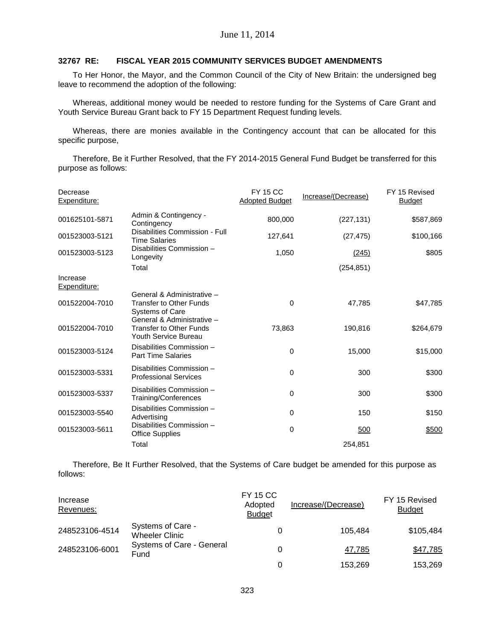#### **32767 RE: FISCAL YEAR 2015 COMMUNITY SERVICES BUDGET AMENDMENTS**

To Her Honor, the Mayor, and the Common Council of the City of New Britain: the undersigned beg leave to recommend the adoption of the following:

Whereas, additional money would be needed to restore funding for the Systems of Care Grant and Youth Service Bureau Grant back to FY 15 Department Request funding levels.

Whereas, there are monies available in the Contingency account that can be allocated for this specific purpose,

Therefore, Be it Further Resolved, that the FY 2014-2015 General Fund Budget be transferred for this purpose as follows:

| Decrease<br>Expenditure: |                                                                                      | <b>FY 15 CC</b><br><b>Adopted Budget</b> | Increase/(Decrease) | FY 15 Revised<br><b>Budget</b> |
|--------------------------|--------------------------------------------------------------------------------------|------------------------------------------|---------------------|--------------------------------|
| 001625101-5871           | Admin & Contingency -<br>Contingency                                                 | 800.000                                  | (227, 131)          | \$587,869                      |
| 001523003-5121           | Disabilities Commission - Full<br><b>Time Salaries</b>                               | 127,641                                  | (27, 475)           | \$100,166                      |
| 001523003-5123           | Disabilities Commission -<br>Longevity                                               | 1,050                                    | (245)               | \$805                          |
|                          | Total                                                                                |                                          | (254, 851)          |                                |
| Increase<br>Expenditure: |                                                                                      |                                          |                     |                                |
|                          | General & Administrative -                                                           |                                          |                     |                                |
| 001522004-7010           | <b>Transfer to Other Funds</b><br><b>Systems of Care</b>                             | $\Omega$                                 | 47,785              | \$47,785                       |
| 001522004-7010           | General & Administrative -<br><b>Transfer to Other Funds</b><br>Youth Service Bureau | 73,863                                   | 190,816             | \$264,679                      |
| 001523003-5124           | Disabilities Commission -<br><b>Part Time Salaries</b>                               | $\mathbf 0$                              | 15,000              | \$15,000                       |
| 001523003-5331           | Disabilities Commission -<br><b>Professional Services</b>                            | $\Omega$                                 | 300                 | \$300                          |
| 001523003-5337           | Disabilities Commission -<br>Training/Conferences                                    | 0                                        | 300                 | \$300                          |
| 001523003-5540           | Disabilities Commission -<br>Advertising                                             | 0                                        | 150                 | \$150                          |
| 001523003-5611           | Disabilities Commission -<br><b>Office Supplies</b>                                  | $\mathbf 0$                              | 500                 | \$500                          |
|                          | Total                                                                                |                                          | 254,851             |                                |

Therefore, Be It Further Resolved, that the Systems of Care budget be amended for this purpose as follows:

| Increase<br>Revenues: |                                            | <b>FY 15 CC</b><br>Adopted<br><b>Budget</b> | Increase/(Decrease) | FY 15 Revised<br><b>Budget</b> |
|-----------------------|--------------------------------------------|---------------------------------------------|---------------------|--------------------------------|
| 248523106-4514        | Systems of Care -<br><b>Wheeler Clinic</b> |                                             | 105.484             | \$105,484                      |
| 248523106-6001        | Systems of Care - General<br>Fund          |                                             | 47,785              | \$47,785                       |
|                       |                                            |                                             | 153.269             | 153.269                        |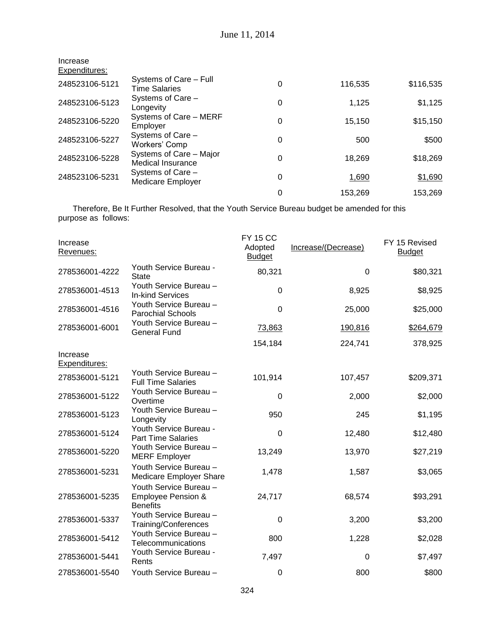| Increase<br>Expenditures: |                                                     |          |         |           |
|---------------------------|-----------------------------------------------------|----------|---------|-----------|
| 248523106-5121            | Systems of Care - Full<br><b>Time Salaries</b>      | 0        | 116,535 | \$116,535 |
| 248523106-5123            | Systems of Care -<br>Longevity                      | $\Omega$ | 1,125   | \$1,125   |
| 248523106-5220            | Systems of Care - MERF<br>Employer                  | 0        | 15,150  | \$15,150  |
| 248523106-5227            | Systems of Care -<br>Workers' Comp                  | 0        | 500     | \$500     |
| 248523106-5228            | Systems of Care - Major<br><b>Medical Insurance</b> | 0        | 18.269  | \$18,269  |
| 248523106-5231            | Systems of Care -<br><b>Medicare Employer</b>       | 0        | 1,690   | \$1,690   |
|                           |                                                     | 0        | 153,269 | 153,269   |

Therefore, Be It Further Resolved, that the Youth Service Bureau budget be amended for this purpose as follows:

| Increase<br>Revenues:     |                                                                            | <b>FY 15 CC</b><br>Adopted<br><b>Budget</b> | Increase/(Decrease) | FY 15 Revised<br><b>Budget</b> |
|---------------------------|----------------------------------------------------------------------------|---------------------------------------------|---------------------|--------------------------------|
| 278536001-4222            | Youth Service Bureau -<br><b>State</b>                                     | 80,321                                      | 0                   | \$80,321                       |
| 278536001-4513            | Youth Service Bureau -<br><b>In-kind Services</b>                          | 0                                           | 8,925               | \$8,925                        |
| 278536001-4516            | Youth Service Bureau -<br><b>Parochial Schools</b>                         | $\mathbf 0$                                 | 25,000              | \$25,000                       |
| 278536001-6001            | Youth Service Bureau -<br><b>General Fund</b>                              | 73,863                                      | 190,816             | \$264,679                      |
|                           |                                                                            | 154,184                                     | 224,741             | 378,925                        |
| Increase<br>Expenditures: |                                                                            |                                             |                     |                                |
| 278536001-5121            | Youth Service Bureau -<br><b>Full Time Salaries</b>                        | 101,914                                     | 107,457             | \$209,371                      |
| 278536001-5122            | Youth Service Bureau -<br>Overtime                                         | 0                                           | 2,000               | \$2,000                        |
| 278536001-5123            | Youth Service Bureau -<br>Longevity                                        | 950                                         | 245                 | \$1,195                        |
| 278536001-5124            | Youth Service Bureau -<br><b>Part Time Salaries</b>                        | 0                                           | 12,480              | \$12,480                       |
| 278536001-5220            | Youth Service Bureau -<br><b>MERF Employer</b>                             | 13,249                                      | 13,970              | \$27,219                       |
| 278536001-5231            | Youth Service Bureau -<br>Medicare Employer Share                          | 1,478                                       | 1,587               | \$3,065                        |
| 278536001-5235            | Youth Service Bureau -<br><b>Employee Pension &amp;</b><br><b>Benefits</b> | 24,717                                      | 68,574              | \$93,291                       |
| 278536001-5337            | Youth Service Bureau -<br>Training/Conferences                             | 0                                           | 3,200               | \$3,200                        |
| 278536001-5412            | Youth Service Bureau -<br>Telecommunications                               | 800                                         | 1,228               | \$2,028                        |
| 278536001-5441            | Youth Service Bureau -<br>Rents                                            | 7,497                                       | 0                   | \$7,497                        |
| 278536001-5540            | Youth Service Bureau -                                                     | $\mathbf 0$                                 | 800                 | \$800                          |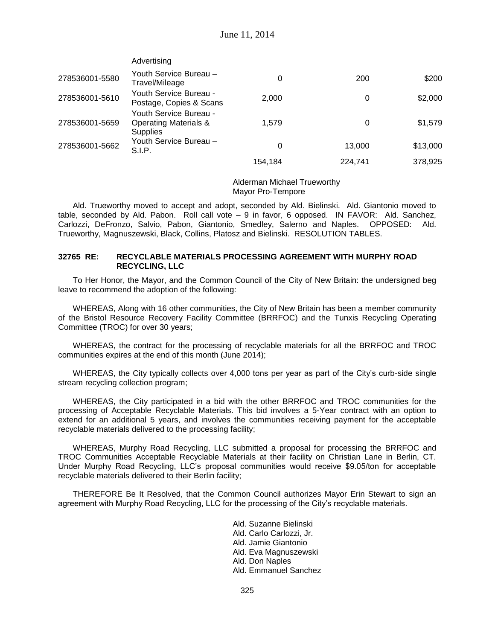|                | Advertising                                                                   |         |         |          |
|----------------|-------------------------------------------------------------------------------|---------|---------|----------|
| 278536001-5580 | Youth Service Bureau -<br>Travel/Mileage                                      | 0       | 200     | \$200    |
| 278536001-5610 | Youth Service Bureau -<br>Postage, Copies & Scans                             | 2,000   | 0       | \$2,000  |
| 278536001-5659 | Youth Service Bureau -<br><b>Operating Materials &amp;</b><br><b>Supplies</b> | 1.579   | 0       | \$1,579  |
| 278536001-5662 | Youth Service Bureau –<br>S.I.P.                                              | 0       | 13,000  | \$13,000 |
|                |                                                                               | 154.184 | 224,741 | 378,925  |

#### Alderman Michael Trueworthy Mayor Pro-Tempore

Ald. Trueworthy moved to accept and adopt, seconded by Ald. Bielinski. Ald. Giantonio moved to table, seconded by Ald. Pabon. Roll call vote – 9 in favor, 6 opposed. IN FAVOR: Ald. Sanchez, Carlozzi, DeFronzo, Salvio, Pabon, Giantonio, Smedley, Salerno and Naples. OPPOSED: Ald. Trueworthy, Magnuszewski, Black, Collins, Platosz and Bielinski. RESOLUTION TABLES.

#### **32765 RE: RECYCLABLE MATERIALS PROCESSING AGREEMENT WITH MURPHY ROAD RECYCLING, LLC**

To Her Honor, the Mayor, and the Common Council of the City of New Britain: the undersigned beg leave to recommend the adoption of the following:

WHEREAS, Along with 16 other communities, the City of New Britain has been a member community of the Bristol Resource Recovery Facility Committee (BRRFOC) and the Tunxis Recycling Operating Committee (TROC) for over 30 years;

WHEREAS, the contract for the processing of recyclable materials for all the BRRFOC and TROC communities expires at the end of this month (June 2014);

WHEREAS, the City typically collects over 4,000 tons per year as part of the City's curb-side single stream recycling collection program;

WHEREAS, the City participated in a bid with the other BRRFOC and TROC communities for the processing of Acceptable Recyclable Materials. This bid involves a 5-Year contract with an option to extend for an additional 5 years, and involves the communities receiving payment for the acceptable recyclable materials delivered to the processing facility;

WHEREAS, Murphy Road Recycling, LLC submitted a proposal for processing the BRRFOC and TROC Communities Acceptable Recyclable Materials at their facility on Christian Lane in Berlin, CT. Under Murphy Road Recycling, LLC's proposal communities would receive \$9.05/ton for acceptable recyclable materials delivered to their Berlin facility;

THEREFORE Be It Resolved, that the Common Council authorizes Mayor Erin Stewart to sign an agreement with Murphy Road Recycling, LLC for the processing of the City's recyclable materials.

> Ald. Suzanne Bielinski Ald. Carlo Carlozzi, Jr. Ald. Jamie Giantonio Ald. Eva Magnuszewski Ald. Don Naples Ald. Emmanuel Sanchez